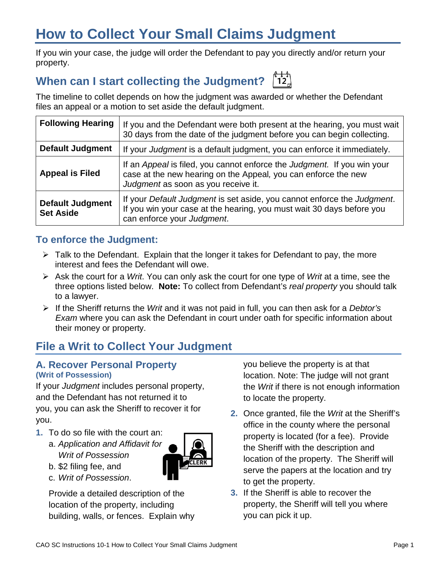# **How to Collect Your Small Claims Judgment**

If you win your case, the judge will order the Defendant to pay you directly and/or return your property.

# **When can I start collecting the Judgment?**

The timeline to collet depends on how the judgment was awarded or whether the Defendant files an appeal or a motion to set aside the default judgment.

| <b>Following Hearing</b>                    | If you and the Defendant were both present at the hearing, you must wait<br>30 days from the date of the judgment before you can begin collecting.                               |
|---------------------------------------------|----------------------------------------------------------------------------------------------------------------------------------------------------------------------------------|
| <b>Default Judgment</b>                     | If your Judgment is a default judgment, you can enforce it immediately.                                                                                                          |
| <b>Appeal is Filed</b>                      | If an Appeal is filed, you cannot enforce the Judgment. If you win your<br>case at the new hearing on the Appeal, you can enforce the new<br>Judgment as soon as you receive it. |
| <b>Default Judgment</b><br><b>Set Aside</b> | If your Default Judgment is set aside, you cannot enforce the Judgment.<br>If you win your case at the hearing, you must wait 30 days before you<br>can enforce your Judgment.   |

## **To enforce the Judgment:**

- $\triangleright$  Talk to the Defendant. Explain that the longer it takes for Defendant to pay, the more interest and fees the Defendant will owe.
- Ask the court for a *Writ*. You can only ask the court for one type of *Writ* at a time, see the three options listed below. **Note:** To collect from Defendant's *real property* you should talk to a lawyer.
- If the Sheriff returns the *Writ* and it was not paid in full, you can then ask for a *Debtor's Exam* where you can ask the Defendant in court under oath for specific information about their money or property.

## **File a Writ to Collect Your Judgment**

#### **A. Recover Personal Property (Writ of Possession)**

If your *Judgment* includes personal property, and the Defendant has not returned it to you, you can ask the Sheriff to recover it for you.

- **1.** To do so file with the court an:
	- a. *Application and Affidavit for Writ of Possession*
	- b. \$2 filing fee, and
	- c. *Writ of Possession*.

Provide a detailed description of the location of the property, including building, walls, or fences. Explain why you believe the property is at that location. Note: The judge will not grant the *Writ* if there is not enough information to locate the property.

- **2.** Once granted, file the *Writ* at the Sheriff's office in the county where the personal property is located (for a fee). Provide the Sheriff with the description and location of the property. The Sheriff will serve the papers at the location and try to get the property.
- **3.** If the Sheriff is able to recover the property, the Sheriff will tell you where you can pick it up.

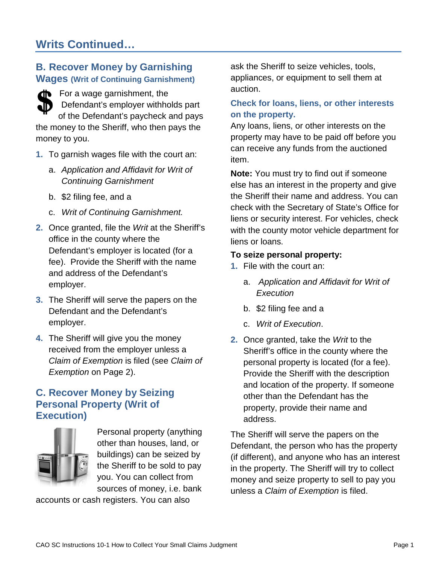## **B. Recover Money by Garnishing Wages (Writ of Continuing Garnishment)**

For a wage garnishment, the Defendant's employer withholds part of the Defendant's paycheck and pays the money to the Sheriff, who then pays the money to you.

- **1.** To garnish wages file with the court an:
	- a. *Application and Affidavit for Writ of Continuing Garnishment*
	- b. \$2 filing fee, and a
	- c. *Writ of Continuing Garnishment.*
- **2.** Once granted, file the *Writ* at the Sheriff's office in the county where the Defendant's employer is located (for a fee). Provide the Sheriff with the name and address of the Defendant's employer.
- **3.** The Sheriff will serve the papers on the Defendant and the Defendant's employer.
- **4.** The Sheriff will give you the money received from the employer unless a *Claim of Exemption* is filed (see *Claim of Exemption* on Page 2).

## **C. Recover Money by Seizing Personal Property (Writ of Execution)**



Personal property (anything other than houses, land, or buildings) can be seized by the Sheriff to be sold to pay you. You can collect from sources of money, i.e. bank

accounts or cash registers. You can also

ask the Sheriff to seize vehicles, tools, appliances, or equipment to sell them at auction.

#### **Check for loans, liens, or other interests on the property.**

Any loans, liens, or other interests on the property may have to be paid off before you can receive any funds from the auctioned item.

**Note:** You must try to find out if someone else has an interest in the property and give the Sheriff their name and address. You can check with the Secretary of State's Office for liens or security interest. For vehicles, check with the county motor vehicle department for liens or loans.

#### **To seize personal property:**

- **1.** File with the court an:
	- a. *Application and Affidavit for Writ of Execution*
	- b. \$2 filing fee and a
	- c. *Writ of Execution*.
- **2.** Once granted, take the *Writ* to the Sheriff's office in the county where the personal property is located (for a fee). Provide the Sheriff with the description and location of the property. If someone other than the Defendant has the property, provide their name and address.

The Sheriff will serve the papers on the Defendant, the person who has the property (if different), and anyone who has an interest in the property. The Sheriff will try to collect money and seize property to sell to pay you unless a *Claim of Exemption* is filed.